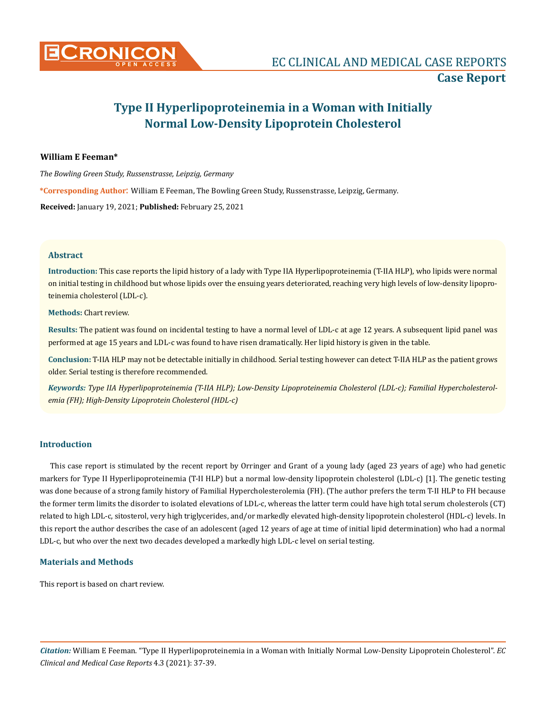

# **Type II Hyperlipoproteinemia in a Woman with Initially Normal Low-Density Lipoprotein Cholesterol**

## **William E Feeman\***

*The Bowling Green Study, Russenstrasse, Leipzig, Germany* 

**\*Corresponding Author**: William E Feeman, The Bowling Green Study, Russenstrasse, Leipzig, Germany.

**Received:** January 19, 2021; **Published:** February 25, 2021

#### **Abstract**

**Introduction:** This case reports the lipid history of a lady with Type IIA Hyperlipoproteinemia (T-IIA HLP), who lipids were normal on initial testing in childhood but whose lipids over the ensuing years deteriorated, reaching very high levels of low-density lipoproteinemia cholesterol (LDL-c).

**Methods:** Chart review.

**Results:** The patient was found on incidental testing to have a normal level of LDL-c at age 12 years. A subsequent lipid panel was performed at age 15 years and LDL-c was found to have risen dramatically. Her lipid history is given in the table.

**Conclusion:** T-IIA HLP may not be detectable initially in childhood. Serial testing however can detect T-IIA HLP as the patient grows older. Serial testing is therefore recommended.

*Keywords: Type IIA Hyperlipoproteinemia (T-IIA HLP); Low-Density Lipoproteinemia Cholesterol (LDL-c); Familial Hypercholesterolemia (FH); High-Density Lipoprotein Cholesterol (HDL-c)*

#### **Introduction**

This case report is stimulated by the recent report by Orringer and Grant of a young lady (aged 23 years of age) who had genetic markers for Type II Hyperlipoproteinemia (T-II HLP) but a normal low-density lipoprotein cholesterol (LDL-c) [1]. The genetic testing was done because of a strong family history of Familial Hypercholesterolemia (FH). (The author prefers the term T-II HLP to FH because the former term limits the disorder to isolated elevations of LDL-c, whereas the latter term could have high total serum cholesterols (CT) related to high LDL-c, sitosterol, very high triglycerides, and/or markedly elevated high-density lipoprotein cholesterol (HDL-c) levels. In this report the author describes the case of an adolescent (aged 12 years of age at time of initial lipid determination) who had a normal LDL-c, but who over the next two decades developed a markedly high LDL-c level on serial testing.

#### **Materials and Methods**

This report is based on chart review.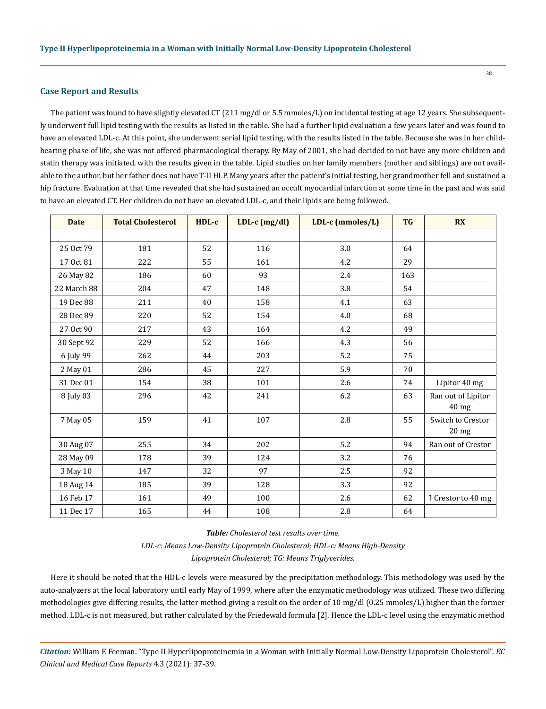#### **Case Report and Results**

The patient was found to have slightly elevated CT (211 mg/dl or 5.5 mmoles/L) on incidental testing at age 12 years. She subsequently underwent full lipid testing with the results as listed in the table. She had a further lipid evaluation a few years later and was found to have an elevated LDL-c. At this point, she underwent serial lipid testing, with the results listed in the table. Because she was in her childbearing phase of life, she was not offered pharmacological therapy. By May of 2001, she had decided to not have any more children and statin therapy was initiated, with the results given in the table. Lipid studies on her family members (mother and siblings) are not available to the author, but her father does not have T-II HLP. Many years after the patient's initial testing, her grandmother fell and sustained a hip fracture. Evaluation at that time revealed that she had sustained an occult myocardial infarction at some time in the past and was said to have an elevated CT. Her children do not have an elevated LDL-c, and their lipids are being followed.

| <b>Date</b> | <b>Total Cholesterol</b> | HDL-c | $LDL-c$ (mg/dl) | LDL-c (mmoles/L) | <b>TG</b> | <b>RX</b>                            |
|-------------|--------------------------|-------|-----------------|------------------|-----------|--------------------------------------|
|             |                          |       |                 |                  |           |                                      |
| 25 Oct 79   | 181                      | 52    | 116             | 3.0              | 64        |                                      |
| 17 Oct 81   | 222                      | 55    | 161             | 4.2              | 29        |                                      |
| 26 May 82   | 186                      | 60    | 93              | 2.4              | 163       |                                      |
| 22 March 88 | 204                      | 47    | 148             | 3.8              | 54        |                                      |
| 19 Dec 88   | 211                      | 40    | 158             | 4.1              | 63        |                                      |
| 28 Dec 89   | 220                      | 52    | 154             | 4.0              | 68        |                                      |
| 27 Oct 90   | 217                      | 43    | 164             | 4.2              | 49        |                                      |
| 30 Sept 92  | 229                      | 52    | 166             | 4.3              | 56        |                                      |
| 6 July 99   | 262                      | 44    | 203             | 5.2              | 75        |                                      |
| 2 May 01    | 286                      | 45    | 227             | 5.9              | 70        |                                      |
| 31 Dec 01   | 154                      | 38    | 101             | 2.6              | 74        | Lipitor 40 mg                        |
| 8 July 03   | 296                      | 42    | 241             | 6.2              | 63        | Ran out of Lipitor<br>40 mg          |
| 7 May 05    | 159                      | 41    | 107             | 2.8              | 55        | Switch to Crestor<br>$20 \text{ mg}$ |
| 30 Aug 07   | 255                      | 34    | 202             | 5.2              | 94        | Ran out of Crestor                   |
| 28 May 09   | 178                      | 39    | 124             | 3.2              | 76        |                                      |
| 3 May 10    | 147                      | 32    | 97              | 2.5              | 92        |                                      |
| 18 Aug 14   | 185                      | 39    | 128             | 3.3              | 92        |                                      |
| 16 Feb 17   | 161                      | 49    | 100             | 2.6              | 62        | î Crestor to 40 mg                   |
| 11 Dec 17   | 165                      | 44    | 108             | $2.8\,$          | 64        |                                      |

*Table: Cholesterol test results over time. LDL-c: Means Low-Density Lipoprotein Cholesterol; HDL-c: Means High-Density Lipoprotein Cholesterol; TG: Means Triglycerides.*

Here it should be noted that the HDL-c levels were measured by the precipitation methodology. This methodology was used by the auto-analyzers at the local laboratory until early May of 1999, where after the enzymatic methodology was utilized. These two differing methodologies give differing results, the latter method giving a result on the order of 10 mg/dl (0.25 mmoles/L) higher than the former method. LDL-c is not measured, but rather calculated by the Friedewald formula [2]. Hence the LDL-c level using the enzymatic method

*Citation:* William E Feeman. "Type II Hyperlipoproteinemia in a Woman with Initially Normal Low-Density Lipoprotein Cholesterol". *EC Clinical and Medical Case Reports* 4.3 (2021): 37-39.

38